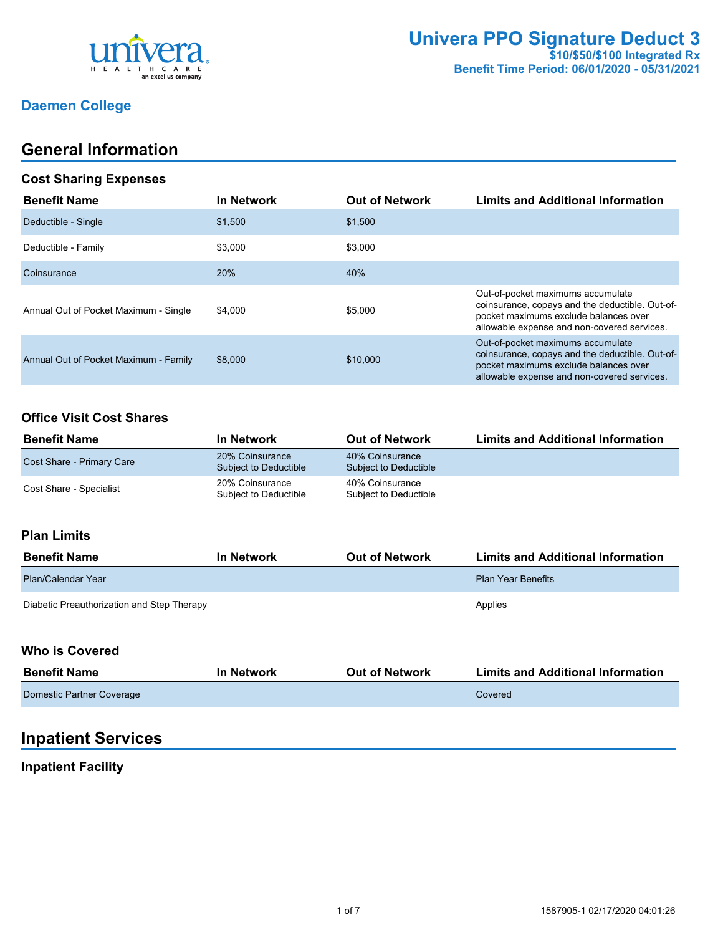

## **Daemen College**

## **General Information**

#### **Cost Sharing Expenses**

| <b>Benefit Name</b>                   | <b>In Network</b> | <b>Out of Network</b> | <b>Limits and Additional Information</b>                                                                                                                                     |
|---------------------------------------|-------------------|-----------------------|------------------------------------------------------------------------------------------------------------------------------------------------------------------------------|
| Deductible - Single                   | \$1,500           | \$1,500               |                                                                                                                                                                              |
| Deductible - Family                   | \$3.000           | \$3,000               |                                                                                                                                                                              |
| Coinsurance                           | 20%               | 40%                   |                                                                                                                                                                              |
| Annual Out of Pocket Maximum - Single | \$4.000           | \$5,000               | Out-of-pocket maximums accumulate<br>coinsurance, copays and the deductible. Out-of-<br>pocket maximums exclude balances over<br>allowable expense and non-covered services. |
| Annual Out of Pocket Maximum - Family | \$8,000           | \$10,000              | Out-of-pocket maximums accumulate<br>coinsurance, copays and the deductible. Out-of-<br>pocket maximums exclude balances over<br>allowable expense and non-covered services. |

## **Office Visit Cost Shares**

| <b>Benefit Name</b>       | In Network                               | <b>Out of Network</b>                    | <b>Limits and Additional Information</b> |
|---------------------------|------------------------------------------|------------------------------------------|------------------------------------------|
| Cost Share - Primary Care | 20% Coinsurance<br>Subject to Deductible | 40% Coinsurance<br>Subject to Deductible |                                          |
| Cost Share - Specialist   | 20% Coinsurance<br>Subject to Deductible | 40% Coinsurance<br>Subject to Deductible |                                          |

### **Plan Limits**

| <b>Benefit Name</b>                        | <b>In Network</b> | <b>Out of Network</b> | <b>Limits and Additional Information</b> |
|--------------------------------------------|-------------------|-----------------------|------------------------------------------|
| Plan/Calendar Year                         |                   |                       | <b>Plan Year Benefits</b>                |
| Diabetic Preauthorization and Step Therapy |                   |                       | Applies                                  |

### **Who is Covered**

| <b>Benefit Name</b>       | In Network | <b>Out of Network</b> | <b>Limits and Additional Information</b> |
|---------------------------|------------|-----------------------|------------------------------------------|
| Domestic Partner Coverage |            |                       | Covered                                  |

## **Inpatient Services**

#### **Inpatient Facility**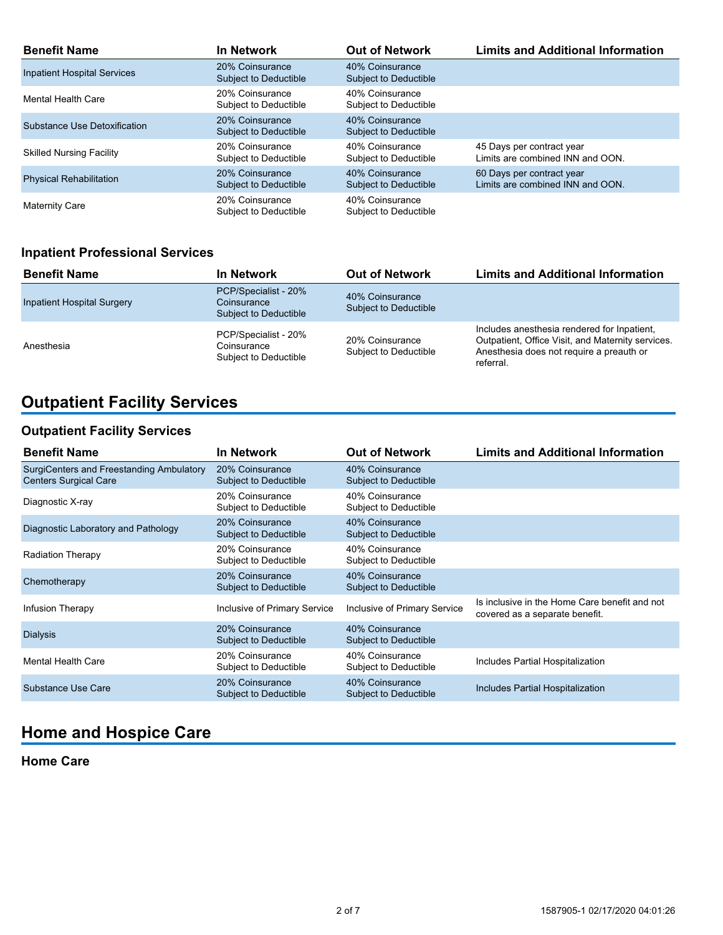| <b>Benefit Name</b>                | <b>In Network</b>                        | <b>Out of Network</b>                           | <b>Limits and Additional Information</b>                      |
|------------------------------------|------------------------------------------|-------------------------------------------------|---------------------------------------------------------------|
| <b>Inpatient Hospital Services</b> | 20% Coinsurance<br>Subject to Deductible | 40% Coinsurance<br><b>Subject to Deductible</b> |                                                               |
| Mental Health Care                 | 20% Coinsurance<br>Subject to Deductible | 40% Coinsurance<br>Subject to Deductible        |                                                               |
| Substance Use Detoxification       | 20% Coinsurance<br>Subject to Deductible | 40% Coinsurance<br>Subject to Deductible        |                                                               |
| <b>Skilled Nursing Facility</b>    | 20% Coinsurance<br>Subject to Deductible | 40% Coinsurance<br>Subject to Deductible        | 45 Days per contract year<br>Limits are combined INN and OON. |
| <b>Physical Rehabilitation</b>     | 20% Coinsurance<br>Subject to Deductible | 40% Coinsurance<br><b>Subject to Deductible</b> | 60 Days per contract year<br>Limits are combined INN and OON. |
| <b>Maternity Care</b>              | 20% Coinsurance<br>Subject to Deductible | 40% Coinsurance<br>Subject to Deductible        |                                                               |

## **Inpatient Professional Services**

| <b>Benefit Name</b>               | In Network                                                   | <b>Out of Network</b>                    | <b>Limits and Additional Information</b>                                                                                                                  |
|-----------------------------------|--------------------------------------------------------------|------------------------------------------|-----------------------------------------------------------------------------------------------------------------------------------------------------------|
| <b>Inpatient Hospital Surgery</b> | PCP/Specialist - 20%<br>Coinsurance<br>Subject to Deductible | 40% Coinsurance<br>Subject to Deductible |                                                                                                                                                           |
| Anesthesia                        | PCP/Specialist - 20%<br>Coinsurance<br>Subject to Deductible | 20% Coinsurance<br>Subject to Deductible | Includes anesthesia rendered for Inpatient,<br>Outpatient, Office Visit, and Maternity services.<br>Anesthesia does not require a preauth or<br>referral. |

# **Outpatient Facility Services**

## **Outpatient Facility Services**

| <b>Benefit Name</b>                                                      | In Network                                      | <b>Out of Network</b>                    | <b>Limits and Additional Information</b>                                        |
|--------------------------------------------------------------------------|-------------------------------------------------|------------------------------------------|---------------------------------------------------------------------------------|
| SurgiCenters and Freestanding Ambulatory<br><b>Centers Surgical Care</b> | 20% Coinsurance<br><b>Subject to Deductible</b> | 40% Coinsurance<br>Subject to Deductible |                                                                                 |
| Diagnostic X-ray                                                         | 20% Coinsurance<br>Subject to Deductible        | 40% Coinsurance<br>Subject to Deductible |                                                                                 |
| Diagnostic Laboratory and Pathology                                      | 20% Coinsurance<br>Subject to Deductible        | 40% Coinsurance<br>Subject to Deductible |                                                                                 |
| <b>Radiation Therapy</b>                                                 | 20% Coinsurance<br>Subject to Deductible        | 40% Coinsurance<br>Subject to Deductible |                                                                                 |
| Chemotherapy                                                             | 20% Coinsurance<br><b>Subject to Deductible</b> | 40% Coinsurance<br>Subject to Deductible |                                                                                 |
| Infusion Therapy                                                         | <b>Inclusive of Primary Service</b>             | Inclusive of Primary Service             | Is inclusive in the Home Care benefit and not<br>covered as a separate benefit. |
| <b>Dialysis</b>                                                          | 20% Coinsurance<br>Subject to Deductible        | 40% Coinsurance<br>Subject to Deductible |                                                                                 |
| <b>Mental Health Care</b>                                                | 20% Coinsurance<br>Subject to Deductible        | 40% Coinsurance<br>Subject to Deductible | Includes Partial Hospitalization                                                |
| Substance Use Care                                                       | 20% Coinsurance<br><b>Subject to Deductible</b> | 40% Coinsurance<br>Subject to Deductible | Includes Partial Hospitalization                                                |

## **Home and Hospice Care**

### **Home Care**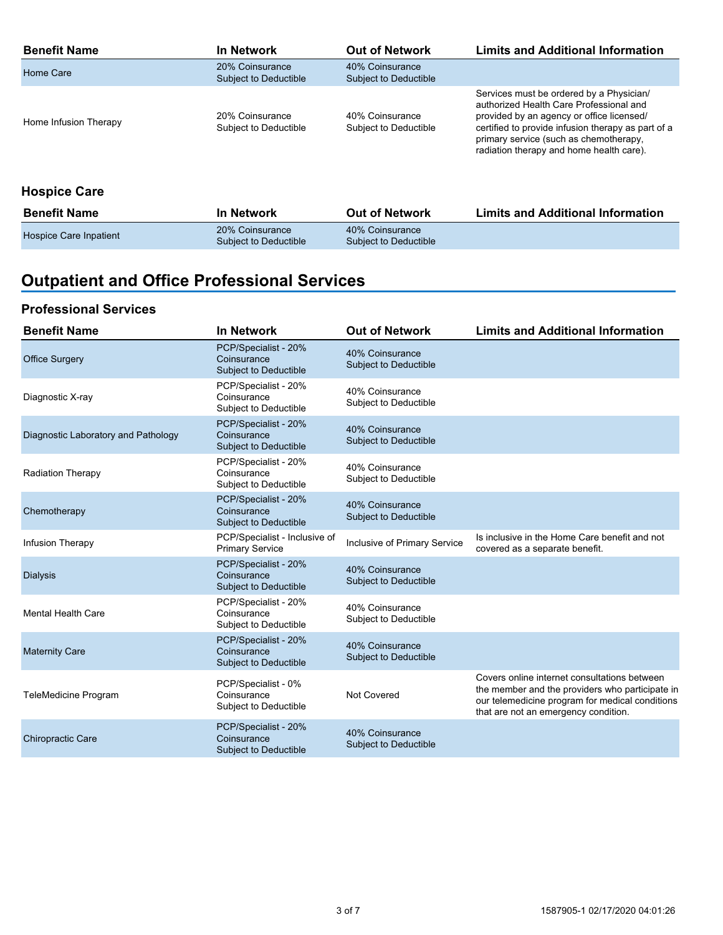| <b>Benefit Name</b>   | In Network                               | <b>Out of Network</b>                    | <b>Limits and Additional Information</b>                                                                                                                                                                                                                                     |
|-----------------------|------------------------------------------|------------------------------------------|------------------------------------------------------------------------------------------------------------------------------------------------------------------------------------------------------------------------------------------------------------------------------|
| Home Care             | 20% Coinsurance<br>Subject to Deductible | 40% Coinsurance<br>Subject to Deductible |                                                                                                                                                                                                                                                                              |
| Home Infusion Therapy | 20% Coinsurance<br>Subject to Deductible | 40% Coinsurance<br>Subject to Deductible | Services must be ordered by a Physician/<br>authorized Health Care Professional and<br>provided by an agency or office licensed/<br>certified to provide infusion therapy as part of a<br>primary service (such as chemotherapy,<br>radiation therapy and home health care). |

## **Hospice Care**

| <b>Benefit Name</b>    | <b>In Network</b>                        | <b>Out of Network</b>                    | <b>Limits and Additional Information</b> |
|------------------------|------------------------------------------|------------------------------------------|------------------------------------------|
| Hospice Care Inpatient | 20% Coinsurance<br>Subject to Deductible | 40% Coinsurance<br>Subiect to Deductible |                                          |

# **Outpatient and Office Professional Services**

### **Professional Services**

| <b>Benefit Name</b>                 | <b>In Network</b>                                            | <b>Out of Network</b>                    | <b>Limits and Additional Information</b>                                                                                                                                                   |
|-------------------------------------|--------------------------------------------------------------|------------------------------------------|--------------------------------------------------------------------------------------------------------------------------------------------------------------------------------------------|
| <b>Office Surgery</b>               | PCP/Specialist - 20%<br>Coinsurance<br>Subject to Deductible | 40% Coinsurance<br>Subject to Deductible |                                                                                                                                                                                            |
| Diagnostic X-ray                    | PCP/Specialist - 20%<br>Coinsurance<br>Subject to Deductible | 40% Coinsurance<br>Subject to Deductible |                                                                                                                                                                                            |
| Diagnostic Laboratory and Pathology | PCP/Specialist - 20%<br>Coinsurance<br>Subject to Deductible | 40% Coinsurance<br>Subject to Deductible |                                                                                                                                                                                            |
| Radiation Therapy                   | PCP/Specialist - 20%<br>Coinsurance<br>Subject to Deductible | 40% Coinsurance<br>Subject to Deductible |                                                                                                                                                                                            |
| Chemotherapy                        | PCP/Specialist - 20%<br>Coinsurance<br>Subject to Deductible | 40% Coinsurance<br>Subject to Deductible |                                                                                                                                                                                            |
| Infusion Therapy                    | PCP/Specialist - Inclusive of<br><b>Primary Service</b>      | Inclusive of Primary Service             | Is inclusive in the Home Care benefit and not<br>covered as a separate benefit.                                                                                                            |
| <b>Dialysis</b>                     | PCP/Specialist - 20%<br>Coinsurance<br>Subject to Deductible | 40% Coinsurance<br>Subject to Deductible |                                                                                                                                                                                            |
| <b>Mental Health Care</b>           | PCP/Specialist - 20%<br>Coinsurance<br>Subject to Deductible | 40% Coinsurance<br>Subject to Deductible |                                                                                                                                                                                            |
| <b>Maternity Care</b>               | PCP/Specialist - 20%<br>Coinsurance<br>Subject to Deductible | 40% Coinsurance<br>Subject to Deductible |                                                                                                                                                                                            |
| <b>TeleMedicine Program</b>         | PCP/Specialist - 0%<br>Coinsurance<br>Subject to Deductible  | <b>Not Covered</b>                       | Covers online internet consultations between<br>the member and the providers who participate in<br>our telemedicine program for medical conditions<br>that are not an emergency condition. |
| <b>Chiropractic Care</b>            | PCP/Specialist - 20%<br>Coinsurance<br>Subject to Deductible | 40% Coinsurance<br>Subject to Deductible |                                                                                                                                                                                            |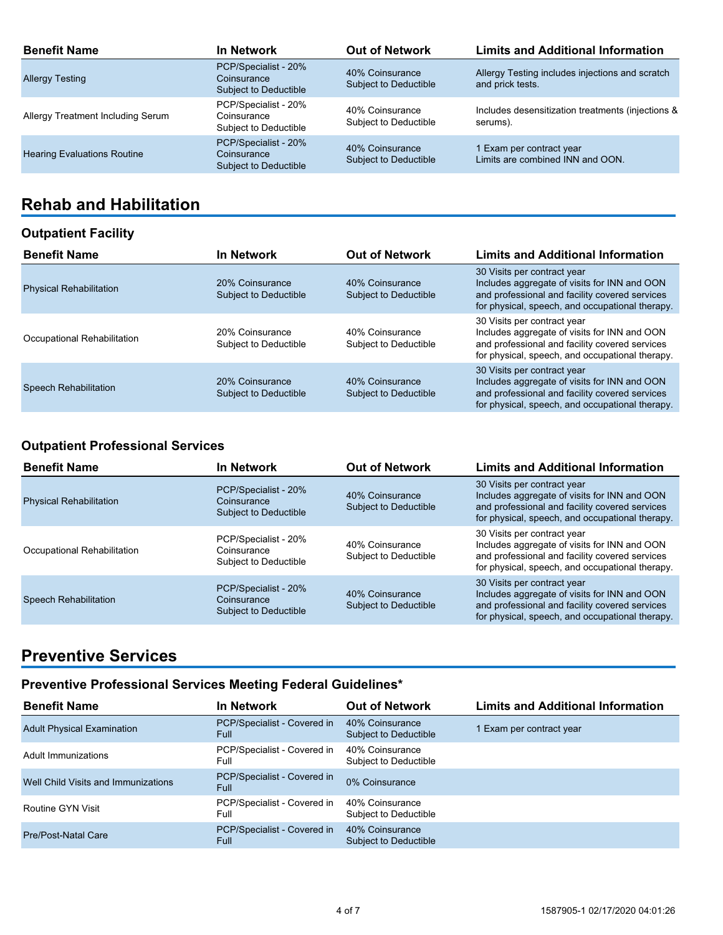| <b>Benefit Name</b>                | <b>In Network</b>                                            | <b>Out of Network</b>                           | <b>Limits and Additional Information</b>                            |
|------------------------------------|--------------------------------------------------------------|-------------------------------------------------|---------------------------------------------------------------------|
| <b>Allergy Testing</b>             | PCP/Specialist - 20%<br>Coinsurance<br>Subject to Deductible | 40% Coinsurance<br><b>Subject to Deductible</b> | Allergy Testing includes injections and scratch<br>and prick tests. |
| Allergy Treatment Including Serum  | PCP/Specialist - 20%<br>Coinsurance<br>Subject to Deductible | 40% Coinsurance<br>Subject to Deductible        | Includes desensitization treatments (injections &<br>serums).       |
| <b>Hearing Evaluations Routine</b> | PCP/Specialist - 20%<br>Coinsurance<br>Subject to Deductible | 40% Coinsurance<br><b>Subject to Deductible</b> | 1 Exam per contract year<br>Limits are combined INN and OON.        |

## **Rehab and Habilitation**

### **Outpatient Facility**

| <b>Benefit Name</b>            | <b>In Network</b>                               | <b>Out of Network</b>                           | <b>Limits and Additional Information</b>                                                                                                                                         |
|--------------------------------|-------------------------------------------------|-------------------------------------------------|----------------------------------------------------------------------------------------------------------------------------------------------------------------------------------|
| <b>Physical Rehabilitation</b> | 20% Coinsurance<br><b>Subject to Deductible</b> | 40% Coinsurance<br><b>Subject to Deductible</b> | 30 Visits per contract year<br>Includes aggregate of visits for INN and OON<br>and professional and facility covered services<br>for physical, speech, and occupational therapy. |
| Occupational Rehabilitation    | 20% Coinsurance<br>Subject to Deductible        | 40% Coinsurance<br>Subject to Deductible        | 30 Visits per contract year<br>Includes aggregate of visits for INN and OON<br>and professional and facility covered services<br>for physical, speech, and occupational therapy. |
| <b>Speech Rehabilitation</b>   | 20% Coinsurance<br>Subject to Deductible        | 40% Coinsurance<br><b>Subject to Deductible</b> | 30 Visits per contract year<br>Includes aggregate of visits for INN and OON<br>and professional and facility covered services<br>for physical, speech, and occupational therapy. |

## **Outpatient Professional Services**

| <b>Benefit Name</b>            | In Network                                                   | <b>Out of Network</b>                    | <b>Limits and Additional Information</b>                                                                                                                                         |
|--------------------------------|--------------------------------------------------------------|------------------------------------------|----------------------------------------------------------------------------------------------------------------------------------------------------------------------------------|
| <b>Physical Rehabilitation</b> | PCP/Specialist - 20%<br>Coinsurance<br>Subject to Deductible | 40% Coinsurance<br>Subject to Deductible | 30 Visits per contract year<br>Includes aggregate of visits for INN and OON<br>and professional and facility covered services<br>for physical, speech, and occupational therapy. |
| Occupational Rehabilitation    | PCP/Specialist - 20%<br>Coinsurance<br>Subject to Deductible | 40% Coinsurance<br>Subject to Deductible | 30 Visits per contract year<br>Includes aggregate of visits for INN and OON<br>and professional and facility covered services<br>for physical, speech, and occupational therapy. |
| <b>Speech Rehabilitation</b>   | PCP/Specialist - 20%<br>Coinsurance<br>Subject to Deductible | 40% Coinsurance<br>Subject to Deductible | 30 Visits per contract year<br>Includes aggregate of visits for INN and OON<br>and professional and facility covered services<br>for physical, speech, and occupational therapy. |

## **Preventive Services**

## **Preventive Professional Services Meeting Federal Guidelines\***

| <b>Benefit Name</b>                 | <b>In Network</b>                          | <b>Out of Network</b>                    | <b>Limits and Additional Information</b> |
|-------------------------------------|--------------------------------------------|------------------------------------------|------------------------------------------|
| <b>Adult Physical Examination</b>   | PCP/Specialist - Covered in<br>Full        | 40% Coinsurance<br>Subject to Deductible | I Exam per contract year                 |
| Adult Immunizations                 | PCP/Specialist - Covered in<br>Full        | 40% Coinsurance<br>Subject to Deductible |                                          |
| Well Child Visits and Immunizations | PCP/Specialist - Covered in<br>Full        | 0% Coinsurance                           |                                          |
| Routine GYN Visit                   | PCP/Specialist - Covered in<br>Full        | 40% Coinsurance<br>Subject to Deductible |                                          |
| Pre/Post-Natal Care                 | PCP/Specialist - Covered in<br><b>Full</b> | 40% Coinsurance<br>Subject to Deductible |                                          |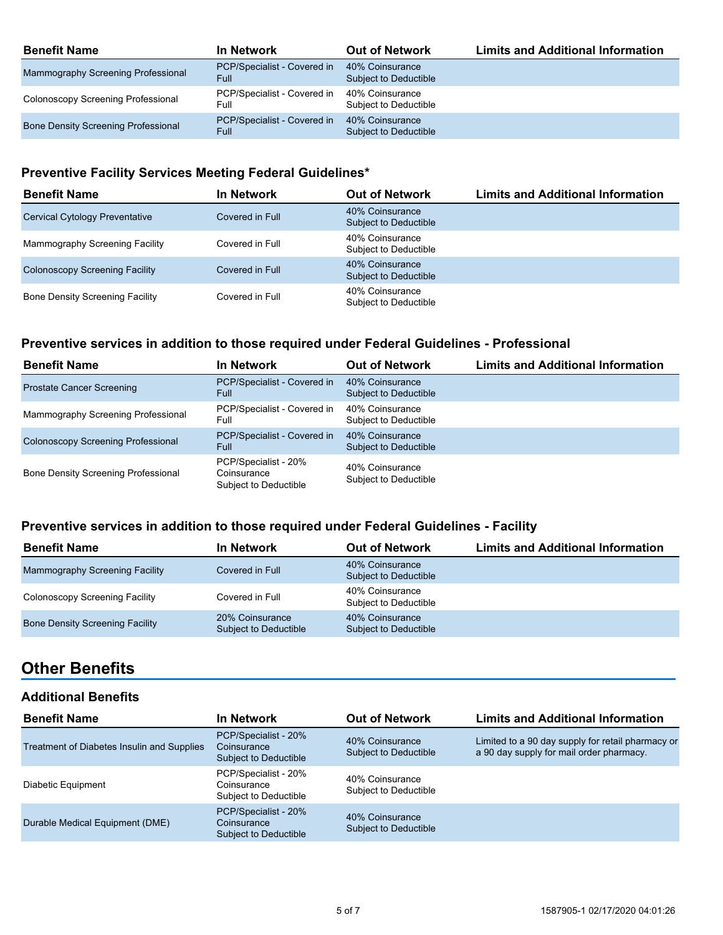| <b>Benefit Name</b>                        | <b>In Network</b>                          | <b>Out of Network</b>                    | <b>Limits and Additional Information</b> |
|--------------------------------------------|--------------------------------------------|------------------------------------------|------------------------------------------|
| Mammography Screening Professional         | PCP/Specialist - Covered in<br><b>Full</b> | 40% Coinsurance<br>Subject to Deductible |                                          |
| Colonoscopy Screening Professional         | PCP/Specialist - Covered in<br>Full        | 40% Coinsurance<br>Subject to Deductible |                                          |
| <b>Bone Density Screening Professional</b> | PCP/Specialist - Covered in<br><b>Full</b> | 40% Coinsurance<br>Subject to Deductible |                                          |

## **Preventive Facility Services Meeting Federal Guidelines\***

| <b>Benefit Name</b>                    | <b>In Network</b> | <b>Out of Network</b>                    | <b>Limits and Additional Information</b> |
|----------------------------------------|-------------------|------------------------------------------|------------------------------------------|
| <b>Cervical Cytology Preventative</b>  | Covered in Full   | 40% Coinsurance<br>Subject to Deductible |                                          |
| Mammography Screening Facility         | Covered in Full   | 40% Coinsurance<br>Subject to Deductible |                                          |
| <b>Colonoscopy Screening Facility</b>  | Covered in Full   | 40% Coinsurance<br>Subject to Deductible |                                          |
| <b>Bone Density Screening Facility</b> | Covered in Full   | 40% Coinsurance<br>Subject to Deductible |                                          |

#### **Preventive services in addition to those required under Federal Guidelines - Professional**

| <b>Benefit Name</b>                        | In Network                                                   | <b>Out of Network</b>                    | <b>Limits and Additional Information</b> |
|--------------------------------------------|--------------------------------------------------------------|------------------------------------------|------------------------------------------|
| <b>Prostate Cancer Screening</b>           | PCP/Specialist - Covered in<br>Full                          | 40% Coinsurance<br>Subject to Deductible |                                          |
| Mammography Screening Professional         | PCP/Specialist - Covered in<br>Full                          | 40% Coinsurance<br>Subject to Deductible |                                          |
| <b>Colonoscopy Screening Professional</b>  | PCP/Specialist - Covered in<br>Full                          | 40% Coinsurance<br>Subject to Deductible |                                          |
| <b>Bone Density Screening Professional</b> | PCP/Specialist - 20%<br>Coinsurance<br>Subject to Deductible | 40% Coinsurance<br>Subject to Deductible |                                          |

### **Preventive services in addition to those required under Federal Guidelines - Facility**

| <b>Benefit Name</b>                    | <b>In Network</b>                        | <b>Out of Network</b>                    | <b>Limits and Additional Information</b> |
|----------------------------------------|------------------------------------------|------------------------------------------|------------------------------------------|
| Mammography Screening Facility         | Covered in Full                          | 40% Coinsurance<br>Subject to Deductible |                                          |
| Colonoscopy Screening Facility         | Covered in Full                          | 40% Coinsurance<br>Subject to Deductible |                                          |
| <b>Bone Density Screening Facility</b> | 20% Coinsurance<br>Subject to Deductible | 40% Coinsurance<br>Subject to Deductible |                                          |

## **Other Benefits**

#### **Additional Benefits**

| <b>Benefit Name</b>                        | In Network                                                          | <b>Out of Network</b>                    | <b>Limits and Additional Information</b>                                                      |
|--------------------------------------------|---------------------------------------------------------------------|------------------------------------------|-----------------------------------------------------------------------------------------------|
| Treatment of Diabetes Insulin and Supplies | PCP/Specialist - 20%<br>Coinsurance<br>Subject to Deductible        | 40% Coinsurance<br>Subject to Deductible | Limited to a 90 day supply for retail pharmacy or<br>a 90 day supply for mail order pharmacy. |
| Diabetic Equipment                         | PCP/Specialist - 20%<br>Coinsurance<br>Subject to Deductible        | 40% Coinsurance<br>Subject to Deductible |                                                                                               |
| Durable Medical Equipment (DME)            | PCP/Specialist - 20%<br>Coinsurance<br><b>Subject to Deductible</b> | 40% Coinsurance<br>Subject to Deductible |                                                                                               |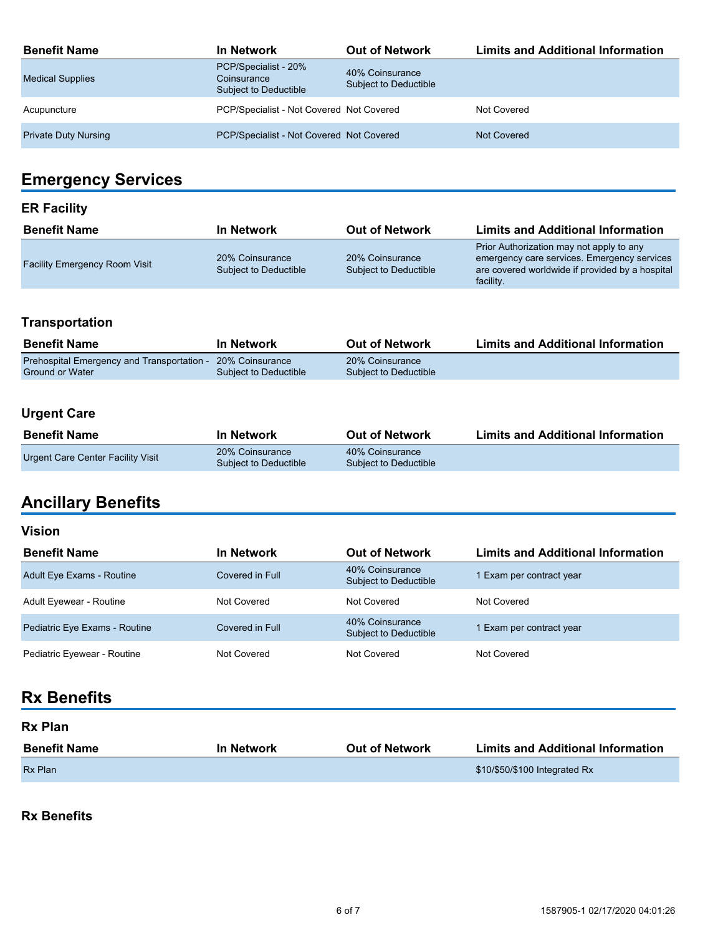| <b>Benefit Name</b>         | In Network                                                   | <b>Out of Network</b>                    | <b>Limits and Additional Information</b> |
|-----------------------------|--------------------------------------------------------------|------------------------------------------|------------------------------------------|
| <b>Medical Supplies</b>     | PCP/Specialist - 20%<br>Coinsurance<br>Subject to Deductible | 40% Coinsurance<br>Subject to Deductible |                                          |
| Acupuncture                 | PCP/Specialist - Not Covered Not Covered                     |                                          | Not Covered                              |
| <b>Private Duty Nursing</b> | PCP/Specialist - Not Covered Not Covered                     |                                          | Not Covered                              |

# **Emergency Services**

## **ER Facility**

| <b>Benefit Name</b>                  | In Network                               | <b>Out of Network</b>                    | <b>Limits and Additional Information</b>                                                                                                                |
|--------------------------------------|------------------------------------------|------------------------------------------|---------------------------------------------------------------------------------------------------------------------------------------------------------|
| <b>Facility Emergency Room Visit</b> | 20% Coinsurance<br>Subject to Deductible | 20% Coinsurance<br>Subject to Deductible | Prior Authorization may not apply to any<br>emergency care services. Emergency services<br>are covered worldwide if provided by a hospital<br>facility. |

## **Transportation**

| <b>Benefit Name</b>                        | In Network            | <b>Out of Network</b> | <b>Limits and Additional Information</b> |
|--------------------------------------------|-----------------------|-----------------------|------------------------------------------|
| Prehospital Emergency and Transportation - | 20% Coinsurance       | 20% Coinsurance       |                                          |
| <b>Ground or Water</b>                     | Subject to Deductible | Subject to Deductible |                                          |

## **Urgent Care**

| <b>Benefit Name</b>               | <b>In Network</b>                        | <b>Out of Network</b>                    | <b>Limits and Additional Information</b> |
|-----------------------------------|------------------------------------------|------------------------------------------|------------------------------------------|
| Urgent Care Center Facility Visit | 20% Coinsurance<br>Subject to Deductible | 40% Coinsurance<br>Subject to Deductible |                                          |

# **Ancillary Benefits**

#### **Vision**

| <b>Benefit Name</b>              | <b>In Network</b> | <b>Out of Network</b>                           | <b>Limits and Additional Information</b> |
|----------------------------------|-------------------|-------------------------------------------------|------------------------------------------|
| <b>Adult Eye Exams - Routine</b> | Covered in Full   | 40% Coinsurance<br><b>Subject to Deductible</b> | 1 Exam per contract year                 |
| Adult Eyewear - Routine          | Not Covered       | Not Covered                                     | Not Covered                              |
| Pediatric Eye Exams - Routine    | Covered in Full   | 40% Coinsurance<br><b>Subject to Deductible</b> | 1 Exam per contract year                 |
| Pediatric Eyewear - Routine      | Not Covered       | Not Covered                                     | Not Covered                              |

# **Rx Benefits**

| <b>Rx Plan</b>      |                   |                       |                                          |  |
|---------------------|-------------------|-----------------------|------------------------------------------|--|
| <b>Benefit Name</b> | <b>In Network</b> | <b>Out of Network</b> | <b>Limits and Additional Information</b> |  |
| <b>Rx Plan</b>      |                   |                       | \$10/\$50/\$100 Integrated Rx            |  |

### **Rx Benefits**